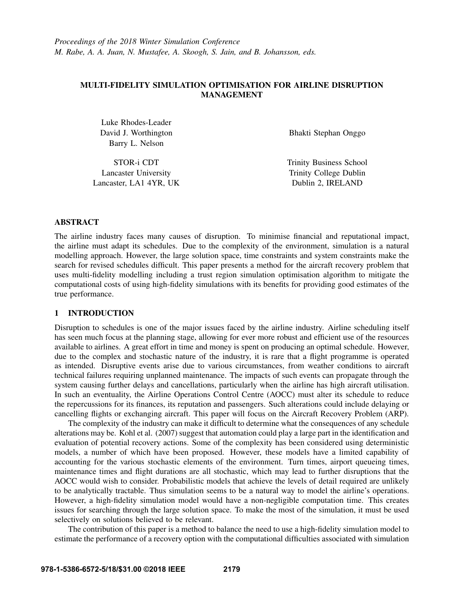# MULTI-FIDELITY SIMULATION OPTIMISATION FOR AIRLINE DISRUPTION MANAGEMENT

Luke Rhodes-Leader David J. Worthington Barry L. Nelson

STOR-i CDT Lancaster University Lancaster, LA1 4YR, UK Bhakti Stephan Onggo

Trinity Business School Trinity College Dublin Dublin 2, IRELAND

## ABSTRACT

The airline industry faces many causes of disruption. To minimise financial and reputational impact, the airline must adapt its schedules. Due to the complexity of the environment, simulation is a natural modelling approach. However, the large solution space, time constraints and system constraints make the search for revised schedules difficult. This paper presents a method for the aircraft recovery problem that uses multi-fidelity modelling including a trust region simulation optimisation algorithm to mitigate the computational costs of using high-fidelity simulations with its benefits for providing good estimates of the true performance.

## 1 INTRODUCTION

Disruption to schedules is one of the major issues faced by the airline industry. Airline scheduling itself has seen much focus at the planning stage, allowing for ever more robust and efficient use of the resources available to airlines. A great effort in time and money is spent on producing an optimal schedule. However, due to the complex and stochastic nature of the industry, it is rare that a flight programme is operated as intended. Disruptive events arise due to various circumstances, from weather conditions to aircraft technical failures requiring unplanned maintenance. The impacts of such events can propagate through the system causing further delays and cancellations, particularly when the airline has high aircraft utilisation. In such an eventuality, the Airline Operations Control Centre (AOCC) must alter its schedule to reduce the repercussions for its finances, its reputation and passengers. Such alterations could include delaying or cancelling flights or exchanging aircraft. This paper will focus on the Aircraft Recovery Problem (ARP).

The complexity of the industry can make it difficult to determine what the consequences of any schedule alterations may be. Kohl et al. (2007) suggest that automation could play a large part in the identification and evaluation of potential recovery actions. Some of the complexity has been considered using deterministic models, a number of which have been proposed. However, these models have a limited capability of accounting for the various stochastic elements of the environment. Turn times, airport queueing times, maintenance times and flight durations are all stochastic, which may lead to further disruptions that the AOCC would wish to consider. Probabilistic models that achieve the levels of detail required are unlikely to be analytically tractable. Thus simulation seems to be a natural way to model the airline's operations. However, a high-fidelity simulation model would have a non-negligible computation time. This creates issues for searching through the large solution space. To make the most of the simulation, it must be used selectively on solutions believed to be relevant.

The contribution of this paper is a method to balance the need to use a high-fidelity simulation model to estimate the performance of a recovery option with the computational difficulties associated with simulation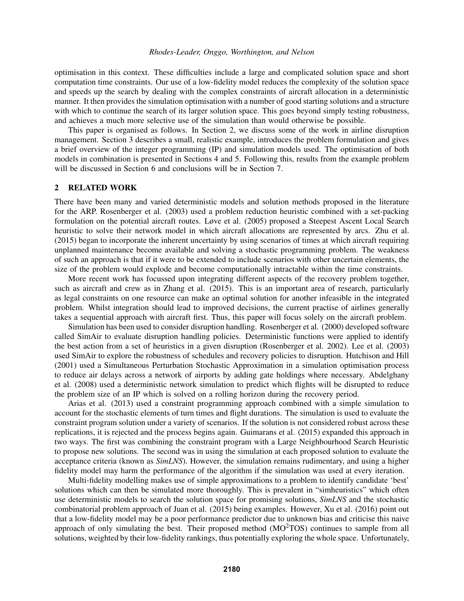optimisation in this context. These difficulties include a large and complicated solution space and short computation time constraints. Our use of a low-fidelity model reduces the complexity of the solution space and speeds up the search by dealing with the complex constraints of aircraft allocation in a deterministic manner. It then provides the simulation optimisation with a number of good starting solutions and a structure with which to continue the search of its larger solution space. This goes beyond simply testing robustness, and achieves a much more selective use of the simulation than would otherwise be possible.

This paper is organised as follows. In Section 2, we discuss some of the work in airline disruption management. Section 3 describes a small, realistic example, introduces the problem formulation and gives a brief overview of the integer programming (IP) and simulation models used. The optimisation of both models in combination is presented in Sections 4 and 5. Following this, results from the example problem will be discussed in Section 6 and conclusions will be in Section 7.

## 2 RELATED WORK

There have been many and varied deterministic models and solution methods proposed in the literature for the ARP. Rosenberger et al. (2003) used a problem reduction heuristic combined with a set-packing formulation on the potential aircraft routes. Løve et al. (2005) proposed a Steepest Ascent Local Search heuristic to solve their network model in which aircraft allocations are represented by arcs. Zhu et al. (2015) began to incorporate the inherent uncertainty by using scenarios of times at which aircraft requiring unplanned maintenance become available and solving a stochastic programming problem. The weakness of such an approach is that if it were to be extended to include scenarios with other uncertain elements, the size of the problem would explode and become computationally intractable within the time constraints.

More recent work has focussed upon integrating different aspects of the recovery problem together, such as aircraft and crew as in Zhang et al. (2015). This is an important area of research, particularly as legal constraints on one resource can make an optimal solution for another infeasible in the integrated problem. Whilst integration should lead to improved decisions, the current practise of airlines generally takes a sequential approach with aircraft first. Thus, this paper will focus solely on the aircraft problem.

Simulation has been used to consider disruption handling. Rosenberger et al. (2000) developed software called SimAir to evaluate disruption handling policies. Deterministic functions were applied to identify the best action from a set of heuristics in a given disruption (Rosenberger et al. 2002). Lee et al. (2003) used SimAir to explore the robustness of schedules and recovery policies to disruption. Hutchison and Hill (2001) used a Simultaneous Perturbation Stochastic Approximation in a simulation optimisation process to reduce air delays across a network of airports by adding gate holdings where necessary. Abdelghany et al. (2008) used a deterministic network simulation to predict which flights will be disrupted to reduce the problem size of an IP which is solved on a rolling horizon during the recovery period.

Arias et al. (2013) used a constraint programming approach combined with a simple simulation to account for the stochastic elements of turn times and flight durations. The simulation is used to evaluate the constraint program solution under a variety of scenarios. If the solution is not considered robust across these replications, it is rejected and the process begins again. Guimarans et al. (2015) expanded this approach in two ways. The first was combining the constraint program with a Large Neighbourhood Search Heuristic to propose new solutions. The second was in using the simulation at each proposed solution to evaluate the acceptance criteria (known as *SimLNS*). However, the simulation remains rudimentary, and using a higher fidelity model may harm the performance of the algorithm if the simulation was used at every iteration.

Multi-fidelity modelling makes use of simple approximations to a problem to identify candidate 'best' solutions which can then be simulated more thoroughly. This is prevalent in "simheuristics" which often use deterministic models to search the solution space for promising solutions, *SimLNS* and the stochastic combinatorial problem approach of Juan et al. (2015) being examples. However, Xu et al. (2016) point out that a low-fidelity model may be a poor performance predictor due to unknown bias and criticise this naive approach of only simulating the best. Their proposed method  $(MO<sup>2</sup>TOS)$  continues to sample from all solutions, weighted by their low-fidelity rankings, thus potentially exploring the whole space. Unfortunately,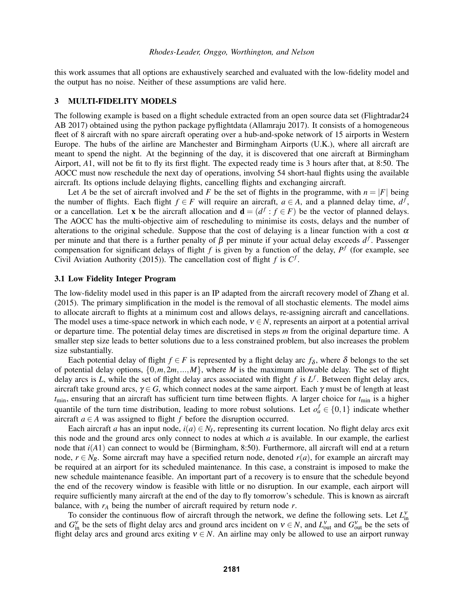this work assumes that all options are exhaustively searched and evaluated with the low-fidelity model and the output has no noise. Neither of these assumptions are valid here.

#### 3 MULTI-FIDELITY MODELS

The following example is based on a flight schedule extracted from an open source data set (Flightradar24 AB 2017) obtained using the python package pyflightdata (Allamraju 2017). It consists of a homogeneous fleet of 8 aircraft with no spare aircraft operating over a hub-and-spoke network of 15 airports in Western Europe. The hubs of the airline are Manchester and Birmingham Airports (U.K.), where all aircraft are meant to spend the night. At the beginning of the day, it is discovered that one aircraft at Birmingham Airport, *A*1, will not be fit to fly its first flight. The expected ready time is 3 hours after that, at 8:50. The AOCC must now reschedule the next day of operations, involving 54 short-haul flights using the available aircraft. Its options include delaying flights, cancelling flights and exchanging aircraft.

Let *A* be the set of aircraft involved and *F* be the set of flights in the programme, with  $n = |F|$  being the number of flights. Each flight  $f \in F$  will require an aircraft,  $a \in A$ , and a planned delay time,  $d^f$ , or a cancellation. Let x be the aircraft allocation and  $\mathbf{d} = (d^f : f \in F)$  be the vector of planned delays. The AOCC has the multi-objective aim of rescheduling to minimise its costs, delays and the number of alterations to the original schedule. Suppose that the cost of delaying is a linear function with a cost  $\alpha$ per minute and that there is a further penalty of  $\beta$  per minute if your actual delay exceeds  $d^f$ . Passenger compensation for significant delays of flight  $f$  is given by a function of the delay,  $P^f$  (for example, see Civil Aviation Authority (2015)). The cancellation cost of flight  $f$  is  $C^f$ .

### 3.1 Low Fidelity Integer Program

The low-fidelity model used in this paper is an IP adapted from the aircraft recovery model of Zhang et al. (2015). The primary simplification in the model is the removal of all stochastic elements. The model aims to allocate aircraft to flights at a minimum cost and allows delays, re-assigning aircraft and cancellations. The model uses a time-space network in which each node,  $v \in N$ , represents an airport at a potential arrival or departure time. The potential delay times are discretised in steps *m* from the original departure time. A smaller step size leads to better solutions due to a less constrained problem, but also increases the problem size substantially.

Each potential delay of flight *f*  $\in$  *F* is represented by a flight delay arc  $f_{\delta}$ , where  $\delta$  belongs to the set of potential delay options,  $\{0, m, 2m, ..., M\}$ , where *M* is the maximum allowable delay. The set of flight delay arcs is  $L$ , while the set of flight delay arcs associated with flight  $f$  is  $L^f$ . Between flight delay arcs, aircraft take ground arcs,  $\gamma \in G$ , which connect nodes at the same airport. Each  $\gamma$  must be of length at least  $t_{\text{min}}$ , ensuring that an aircraft has sufficient turn time between flights. A larger choice for  $t_{\text{min}}$  is a higher quantile of the turn time distribution, leading to more robust solutions. Let  $o^f_a \in \{0,1\}$  indicate whether aircraft  $a \in A$  was assigned to flight  $f$  before the disruption occurred.

Each aircraft *a* has an input node,  $i(a) \in N_I$ , representing its current location. No flight delay arcs exit this node and the ground arcs only connect to nodes at which *a* is available. In our example, the earliest node that *i*(*A*1) can connect to would be (Birmingham, 8:50). Furthermore, all aircraft will end at a return node,  $r \in N_R$ . Some aircraft may have a specified return node, denoted  $r(a)$ , for example an aircraft may be required at an airport for its scheduled maintenance. In this case, a constraint is imposed to make the new schedule maintenance feasible. An important part of a recovery is to ensure that the schedule beyond the end of the recovery window is feasible with little or no disruption. In our example, each airport will require sufficiently many aircraft at the end of the day to fly tomorrow's schedule. This is known as aircraft balance, with  $r_A$  being the number of aircraft required by return node  $r$ .

To consider the continuous flow of aircraft through the network, we define the following sets. Let  $L_{\text{in}}^{V}$ and  $G_{\text{in}}^V$  be the sets of flight delay arcs and ground arcs incident on  $v \in N$ , and  $L_{\text{out}}^V$  and  $G_{\text{out}}^V$  be the sets of flight delay arcs and ground arcs exiting  $v \in N$ . An airline may only be allowed to use an airport runway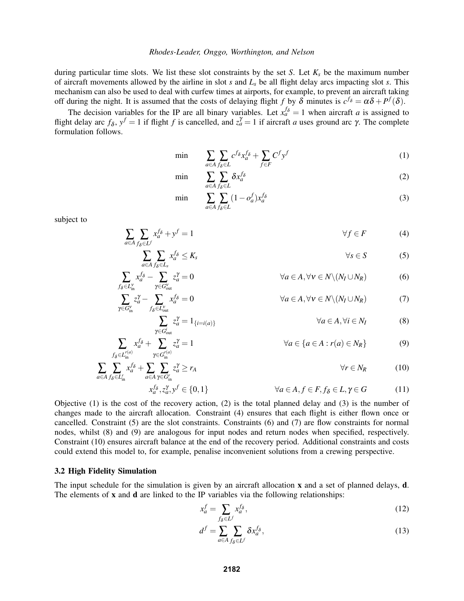during particular time slots. We list these slot constraints by the set *S*. Let *K<sup>s</sup>* be the maximum number of aircraft movements allowed by the airline in slot *s* and *L<sup>s</sup>* be all flight delay arcs impacting slot *s*. This mechanism can also be used to deal with curfew times at airports, for example, to prevent an aircraft taking off during the night. It is assumed that the costs of delaying flight *f* by  $\delta$  minutes is  $c^{f_{\delta}} = \alpha \delta + P^f(\delta)$ .

The decision variables for the IP are all binary variables. Let  $x_a^{f\delta} = 1$  when aircraft *a* is assigned to flight delay arc  $f_{\delta}$ ,  $y^f = 1$  if flight *f* is cancelled, and  $z_a^{\gamma} = 1$  if aircraft *a* uses ground arc  $\gamma$ . The complete formulation follows.

$$
\min \qquad \sum_{a \in A} \sum_{f_{\delta} \in L} c^{f_{\delta}} x_a^{f_{\delta}} + \sum_{f \in F} C^f y^f \tag{1}
$$

$$
\min \qquad \sum_{a \in A} \sum_{f_{\delta} \in L} \delta x_a^{f_{\delta}} \tag{2}
$$

$$
\min \sum_{a \in A} \sum_{f_{\delta} \in L} (1 - o_a^f) x_a^{f_{\delta}} \tag{3}
$$

subject to

$$
\sum_{a \in A} \sum_{f_{\delta} \in L^f} x_a^{f_{\delta}} + y^f = 1 \qquad \qquad \forall f \in F \tag{4}
$$

$$
\sum_{a \in A} \sum_{f_{\delta} \in L_s} x_a^{f_{\delta}} \le K_s \qquad \forall s \in S \qquad (5)
$$

$$
\sum_{f_{\delta} \in L_{in}^{\nu}} x_a^{f_{\delta}} - \sum_{\gamma \in G_{out}^{\nu}} z_a^{\gamma} = 0
$$
\n
$$
\forall a \in A, \forall \nu \in N \setminus (N_I \cup N_R)
$$
\n
$$
\sum_{\gamma \in C_{out}^{\nu}} z_a^{\gamma} - \sum_{\gamma \in C_{out}^{\nu}} x_a^{f_{\delta}} = 0
$$
\n
$$
\forall a \in A, \forall \nu \in N \setminus (N_I \cup N_R)
$$
\n
$$
(7)
$$

$$
\sum_{\gamma \in G_{\text{in}}^{\text{V}}} z_a^{\gamma} - \sum_{f_{\delta} \in L_{\text{out}}^{\text{V}}} x_a^{f_{\delta}} = 0 \qquad \forall a \in A, \forall \text{ } v \in N \setminus (N_I \cup N_R) \tag{7}
$$
\n
$$
\sum_{\gamma \in G_{\text{in}}^{\text{V}}} z_a^{\gamma} = 1_{\{i = i(a)\}} \qquad \forall a \in A, \forall i \in N_I \tag{8}
$$

$$
\sum_{f_{\delta} \in L_{\text{in}}^{r(a)}} x_a^{f_{\delta}} + \sum_{\gamma \in G_{\text{in}}^{r(a)}} z_a^{\gamma} = 1 \qquad \forall a \in \{a \in A : r(a) \in N_R\} \tag{9}
$$

$$
\sum_{a \in A} \sum_{f_{\delta} \in L_{in}^{r}} x_{a}^{f_{\delta}} + \sum_{a \in A} \sum_{\gamma \in G_{in}^{r}} z_{a}^{\gamma} \ge r_{A}
$$
\n
$$
\forall r \in N_{R} \qquad (10)
$$
\n
$$
x_{a}^{f_{\delta}}, z_{a}^{\gamma}, y^{f} \in \{0, 1\}
$$
\n
$$
\forall a \in A, f \in F, f_{\delta} \in L, \gamma \in G \qquad (11)
$$

Objective  $(1)$  is the cost of the recovery action,  $(2)$  is the total planned delay and  $(3)$  is the number of changes made to the aircraft allocation. Constraint (4) ensures that each flight is either flown once or cancelled. Constraint (5) are the slot constraints. Constraints (6) and (7) are flow constraints for normal nodes, whilst (8) and (9) are analogous for input nodes and return nodes when specified, respectively. Constraint (10) ensures aircraft balance at the end of the recovery period. Additional constraints and costs could extend this model to, for example, penalise inconvenient solutions from a crewing perspective.

#### 3.2 High Fidelity Simulation

The input schedule for the simulation is given by an aircraft allocation x and a set of planned delays, **d**. The elements of  $x$  and  $d$  are linked to the IP variables via the following relationships:

$$
x_a^f = \sum_{f_\delta \in L^f} x_a^{f_\delta},\tag{12}
$$

$$
d^f = \sum_{a \in A} \sum_{f_\delta \in L^f} \delta x_a^{f_\delta},\tag{13}
$$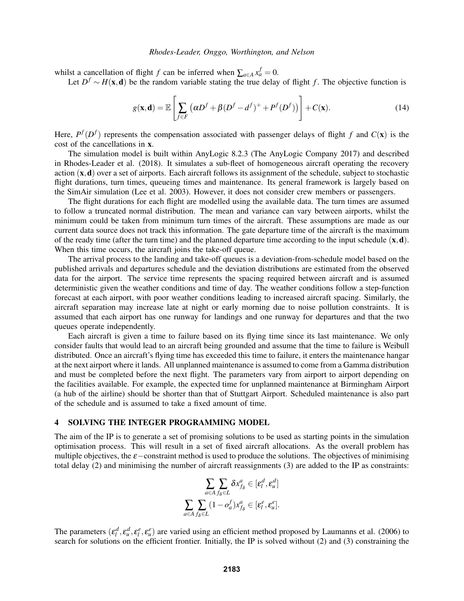whilst a cancellation of flight *f* can be inferred when  $\sum_{a \in A} x_a^f = 0$ .

Let  $D^f \sim H(\mathbf{x}, \mathbf{d})$  be the random variable stating the true delay of flight *f*. The objective function is

$$
g(\mathbf{x}, \mathbf{d}) = \mathbb{E}\left[\sum_{f \in F} \left(\alpha D^f + \beta (D^f - d^f)^+ + P^f(D^f)\right)\right] + C(\mathbf{x}).\tag{14}
$$

Here,  $P^{f}(D^{f})$  represents the compensation associated with passenger delays of flight *f* and  $C(\mathbf{x})$  is the cost of the cancellations in x.

The simulation model is built within AnyLogic 8.2.3 (The AnyLogic Company 2017) and described in Rhodes-Leader et al. (2018). It simulates a sub-fleet of homogeneous aircraft operating the recovery action  $(x, d)$  over a set of airports. Each aircraft follows its assignment of the schedule, subject to stochastic flight durations, turn times, queueing times and maintenance. Its general framework is largely based on the SimAir simulation (Lee et al. 2003). However, it does not consider crew members or passengers.

The flight durations for each flight are modelled using the available data. The turn times are assumed to follow a truncated normal distribution. The mean and variance can vary between airports, whilst the minimum could be taken from minimum turn times of the aircraft. These assumptions are made as our current data source does not track this information. The gate departure time of the aircraft is the maximum of the ready time (after the turn time) and the planned departure time according to the input schedule  $(x, d)$ . When this time occurs, the aircraft joins the take-off queue.

The arrival process to the landing and take-off queues is a deviation-from-schedule model based on the published arrivals and departures schedule and the deviation distributions are estimated from the observed data for the airport. The service time represents the spacing required between aircraft and is assumed deterministic given the weather conditions and time of day. The weather conditions follow a step-function forecast at each airport, with poor weather conditions leading to increased aircraft spacing. Similarly, the aircraft separation may increase late at night or early morning due to noise pollution constraints. It is assumed that each airport has one runway for landings and one runway for departures and that the two queues operate independently.

Each aircraft is given a time to failure based on its flying time since its last maintenance. We only consider faults that would lead to an aircraft being grounded and assume that the time to failure is Weibull distributed. Once an aircraft's flying time has exceeded this time to failure, it enters the maintenance hangar at the next airport where it lands. All unplanned maintenance is assumed to come from a Gamma distribution and must be completed before the next flight. The parameters vary from airport to airport depending on the facilities available. For example, the expected time for unplanned maintenance at Birmingham Airport (a hub of the airline) should be shorter than that of Stuttgart Airport. Scheduled maintenance is also part of the schedule and is assumed to take a fixed amount of time.

#### 4 SOLVING THE INTEGER PROGRAMMING MODEL

The aim of the IP is to generate a set of promising solutions to be used as starting points in the simulation optimisation process. This will result in a set of fixed aircraft allocations. As the overall problem has multiple objectives, the  $\varepsilon$ −constraint method is used to produce the solutions. The objectives of minimising total delay (2) and minimising the number of aircraft reassignments (3) are added to the IP as constraints:

$$
\sum_{a \in A} \sum_{f_{\delta} \in L} \delta x_{f_{\delta}}^a \in [\varepsilon_l^d, \varepsilon_u^d]
$$

$$
\sum_{a \in A} \sum_{f_{\delta} \in L} (1 - o_a^f) x_{f_{\delta}}^a \in [\varepsilon_l^e, \varepsilon_u^e].
$$

The parameters  $(\epsilon_l^d, \epsilon_u^d, \epsilon_l^e, \epsilon_u^e)$  are varied using an efficient method proposed by Laumanns et al. (2006) to search for solutions on the efficient frontier. Initially, the IP is solved without (2) and (3) constraining the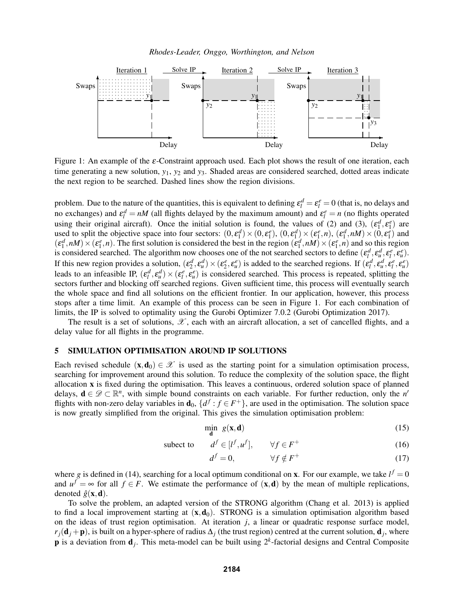*Rhodes-Leader, Onggo, Worthington, and Nelson*



Figure 1: An example of the  $\varepsilon$ -Constraint approach used. Each plot shows the result of one iteration, each time generating a new solution,  $y_1$ ,  $y_2$  and  $y_3$ . Shaded areas are considered searched, dotted areas indicate the next region to be searched. Dashed lines show the region divisions.

problem. Due to the nature of the quantities, this is equivalent to defining  $\varepsilon_l^d = \varepsilon_l^e = 0$  (that is, no delays and no exchanges) and  $\varepsilon_l^d = nM$  (all flights delayed by the maximum amount) and  $\varepsilon_l^e = n$  (no flights operated using their original aircraft). Once the initial solution is found, the values of (2) and (3),  $(\epsilon_1^d, \epsilon_1^e)$  are used to split the objective space into four sectors:  $(0, \varepsilon_1^d) \times (0, \varepsilon_1^e)$ ,  $(0, \varepsilon_1^d) \times (\varepsilon_1^e, n)$ ,  $(\varepsilon_1^d, nM) \times (0, \varepsilon_1^e)$  and  $(\epsilon_1^d, nM) \times (\epsilon_1^e, n)$ . The first solution is considered the best in the region  $(\epsilon_1^d, nM) \times (\epsilon_1^e, n)$  and so this region is considered searched. The algorithm now chooses one of the not searched sectors to define  $(\varepsilon_l^d, \varepsilon_u^d, \varepsilon_l^e, \varepsilon_u^e)$ . If this new region provides a solution,  $(\epsilon_2^d, \epsilon_u^d) \times (\epsilon_2^e, \epsilon_u^e)$  is added to the searched regions. If  $(\epsilon_l^d, \epsilon_u^d, \epsilon_l^e, \epsilon_u^e)$ leads to an infeasible IP,  $(\epsilon_l^d, \epsilon_u^d) \times (\epsilon_l^e, \epsilon_u^e)$  is considered searched. This process is repeated, splitting the sectors further and blocking off searched regions. Given sufficient time, this process will eventually search the whole space and find all solutions on the efficient frontier. In our application, however, this process stops after a time limit. An example of this process can be seen in Figure 1. For each combination of limits, the IP is solved to optimality using the Gurobi Optimizer 7.0.2 (Gurobi Optimization 2017).

The result is a set of solutions,  $\mathscr X$ , each with an aircraft allocation, a set of cancelled flights, and a delay value for all flights in the programme.

## 5 SIMULATION OPTIMISATION AROUND IP SOLUTIONS

Each revised schedule  $(x, d_0) \in \mathcal{X}$  is used as the starting point for a simulation optimisation process, searching for improvement around this solution. To reduce the complexity of the solution space, the flight allocation x is fixed during the optimisation. This leaves a continuous, ordered solution space of planned delays,  $\mathbf{d} \in \mathscr{D} \subset \mathbb{R}^n$ , with simple bound constraints on each variable. For further reduction, only the *n'* flights with non-zero delay variables in  $\mathbf{d}_0$ ,  $\{d^f: f \in F^+\}$ , are used in the optimisation. The solution space is now greatly simplified from the original. This gives the simulation optimisation problem:

$$
\min_{\mathbf{d}} g(\mathbf{x}, \mathbf{d}) \tag{15}
$$

subect to  $f \in [l^f, u^f], \quad \forall f \in F$  $^{+}$  (16)

$$
d^f = 0, \qquad \forall f \notin F^+ \tag{17}
$$

where *g* is defined in (14), searching for a local optimum conditional on **x**. For our example, we take  $l^f = 0$ and  $u^f = \infty$  for all  $f \in F$ . We estimate the performance of  $(\mathbf{x}, \mathbf{d})$  by the mean of multiple replications, denoted  $\hat{g}(\mathbf{x}, \mathbf{d})$ .

To solve the problem, an adapted version of the STRONG algorithm (Chang et al. 2013) is applied to find a local improvement starting at  $(x, d_0)$ . STRONG is a simulation optimisation algorithm based on the ideas of trust region optimisation. At iteration *j*, a linear or quadratic response surface model,  $r_j(\mathbf{d}_j + \mathbf{p})$ , is built on a hyper-sphere of radius  $\Delta_j$  (the trust region) centred at the current solution,  $\mathbf{d}_j$ , where **p** is a deviation from  $\mathbf{d}_j$ . This meta-model can be built using  $2^k$ -factorial designs and Central Composite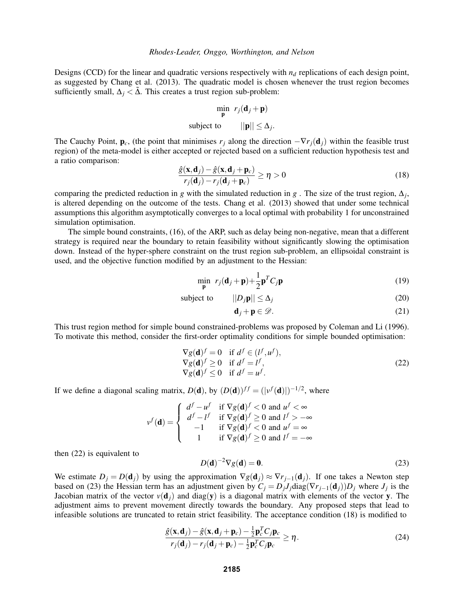Designs (CCD) for the linear and quadratic versions respectively with *n<sup>d</sup>* replications of each design point, as suggested by Chang et al. (2013). The quadratic model is chosen whenever the trust region becomes sufficiently small,  $\Delta_i < \tilde{\Delta}$ . This creates a trust region sub-problem:

$$
\min_{\mathbf{p}} r_j(\mathbf{d}_j + \mathbf{p})
$$
  
subject to 
$$
||\mathbf{p}|| \leq \Delta_j.
$$

The Cauchy Point,  $\mathbf{p}_c$ , (the point that minimises  $r_j$  along the direction  $-\nabla r_j(\mathbf{d}_j)$  within the feasible trust region) of the meta-model is either accepted or rejected based on a sufficient reduction hypothesis test and a ratio comparison:

$$
\frac{\hat{g}(\mathbf{x}, \mathbf{d}_j) - \hat{g}(\mathbf{x}, \mathbf{d}_j + \mathbf{p}_c)}{r_j(\mathbf{d}_j) - r_j(\mathbf{d}_j + \mathbf{p}_c)} \ge \eta > 0
$$
\n(18)

comparing the predicted reduction in *g* with the simulated reduction in *g*. The size of the trust region,  $\Delta_j$ , is altered depending on the outcome of the tests. Chang et al. (2013) showed that under some technical assumptions this algorithm asymptotically converges to a local optimal with probability 1 for unconstrained simulation optimisation.

The simple bound constraints, (16), of the ARP, such as delay being non-negative, mean that a different strategy is required near the boundary to retain feasibility without significantly slowing the optimisation down. Instead of the hyper-sphere constraint on the trust region sub-problem, an ellipsoidal constraint is used, and the objective function modified by an adjustment to the Hessian:

$$
\min_{\mathbf{p}} r_j(\mathbf{d}_j + \mathbf{p}) + \frac{1}{2} \mathbf{p}^T C_j \mathbf{p}
$$
\n(19)

subject to  $||D_j \mathbf{p}|| \leq \Delta_j$  (20)

$$
\mathbf{d}_j + \mathbf{p} \in \mathscr{D}.\tag{21}
$$

This trust region method for simple bound constrained-problems was proposed by Coleman and Li (1996). To motivate this method, consider the first-order optimality conditions for simple bounded optimisation:

$$
\nabla g(\mathbf{d})^f = 0 \quad \text{if } d^f \in (l^f, u^f),\n\nabla g(\mathbf{d})^f \ge 0 \quad \text{if } d^f = l^f,\n\nabla g(\mathbf{d})^f \le 0 \quad \text{if } d^f = u^f.
$$
\n(22)

If we define a diagonal scaling matrix,  $D(\mathbf{d})$ , by  $(D(\mathbf{d}))^{ff} = (|v^f(\mathbf{d})|)^{-1/2}$ , where

$$
v^f(\mathbf{d}) = \begin{cases} d^f - u^f & \text{if } \nabla g(\mathbf{d})^f < 0 \text{ and } u^f < \infty \\ d^f - l^f & \text{if } \nabla g(\mathbf{d})^f \ge 0 \text{ and } l^f > -\infty \\ -1 & \text{if } \nabla g(\mathbf{d})^f < 0 \text{ and } u^f = \infty \\ 1 & \text{if } \nabla g(\mathbf{d})^f \ge 0 \text{ and } l^f = -\infty \end{cases}
$$

then (22) is equivalent to

$$
D(\mathbf{d})^{-2}\nabla g(\mathbf{d}) = \mathbf{0}.\tag{23}
$$

We estimate  $D_j = D(\mathbf{d}_j)$  by using the approximation  $\nabla g(\mathbf{d}_j) \approx \nabla r_{j-1}(\mathbf{d}_j)$ . If one takes a Newton step based on (23) the Hessian term has an adjustment given by  $C_j = D_j J_j \text{diag}(\nabla r_{j-1}(\mathbf{d}_j)) D_j$  where  $J_j$  is the Jacobian matrix of the vector  $v(\mathbf{d}_i)$  and diag(y) is a diagonal matrix with elements of the vector y. The adjustment aims to prevent movement directly towards the boundary. Any proposed steps that lead to infeasible solutions are truncated to retain strict feasibility. The acceptance condition (18) is modified to

$$
\frac{\hat{g}(\mathbf{x}, \mathbf{d}_j) - \hat{g}(\mathbf{x}, \mathbf{d}_j + \mathbf{p}_c) - \frac{1}{2} \mathbf{p}_c^T C_j \mathbf{p}_c}{r_j(\mathbf{d}_j) - r_j(\mathbf{d}_j + \mathbf{p}_c) - \frac{1}{2} \mathbf{p}_c^T C_j \mathbf{p}_c} \ge \eta.
$$
\n(24)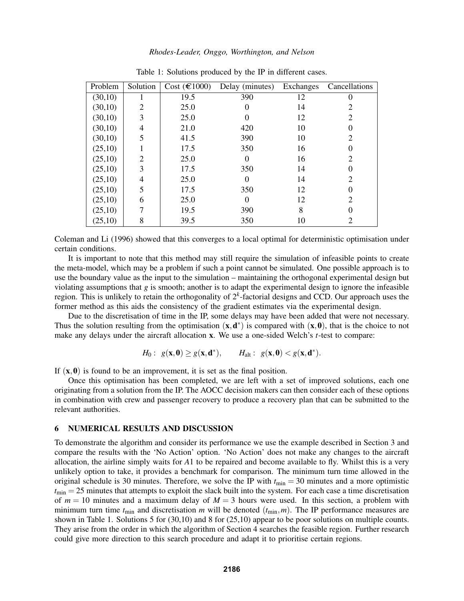| Problem | Solution | Cost $(\text{\textsterling}1000)$ | Delay (minutes)<br>Exchanges |    | Cancellations  |  |
|---------|----------|-----------------------------------|------------------------------|----|----------------|--|
| (30,10) | п        | 19.5                              | 390                          | 12 | 0              |  |
| (30,10) | 2        | 25.0                              |                              | 14 |                |  |
| (30,10) | 3        | 25.0                              |                              | 12 | 2              |  |
| (30,10) | 4        | 21.0                              | 420                          | 10 | 0              |  |
| (30,10) | 5        | 41.5                              | 390                          | 10 | 2              |  |
| (25,10) |          | 17.5                              | 350                          | 16 | $\theta$       |  |
| (25,10) | 2        | 25.0                              |                              | 16 | 2              |  |
| (25,10) | 3        | 17.5                              | 350                          | 14 |                |  |
| (25,10) | 4        | 25.0                              |                              | 14 | $\overline{c}$ |  |
| (25,10) | 5        | 17.5                              | 350                          | 12 | $\theta$       |  |
| (25,10) | 6        | 25.0                              |                              | 12 | 2              |  |
| (25,10) | 7        | 19.5                              | 390                          | 8  | $\Omega$       |  |
| (25,10) | 8        | 39.5                              | 350                          | 10 | 2              |  |

Table 1: Solutions produced by the IP in different cases.

Coleman and Li (1996) showed that this converges to a local optimal for deterministic optimisation under certain conditions.

It is important to note that this method may still require the simulation of infeasible points to create the meta-model, which may be a problem if such a point cannot be simulated. One possible approach is to use the boundary value as the input to the simulation – maintaining the orthogonal experimental design but violating assumptions that *g* is smooth; another is to adapt the experimental design to ignore the infeasible region. This is unlikely to retain the orthogonality of 2*<sup>k</sup>* -factorial designs and CCD. Our approach uses the former method as this aids the consistency of the gradient estimates via the experimental design.

Due to the discretisation of time in the IP, some delays may have been added that were not necessary. Thus the solution resulting from the optimisation  $(x, d^*)$  is compared with  $(x, 0)$ , that is the choice to not make any delays under the aircraft allocation x. We use a one-sided Welch's *t*-test to compare:

$$
H_0: g(x, 0) \ge g(x, d^*), \qquad H_{alt}: g(x, 0) < g(x, d^*).
$$

If  $(x, 0)$  is found to be an improvement, it is set as the final position.

Once this optimisation has been completed, we are left with a set of improved solutions, each one originating from a solution from the IP. The AOCC decision makers can then consider each of these options in combination with crew and passenger recovery to produce a recovery plan that can be submitted to the relevant authorities.

#### 6 NUMERICAL RESULTS AND DISCUSSION

To demonstrate the algorithm and consider its performance we use the example described in Section 3 and compare the results with the 'No Action' option. 'No Action' does not make any changes to the aircraft allocation, the airline simply waits for *A*1 to be repaired and become available to fly. Whilst this is a very unlikely option to take, it provides a benchmark for comparison. The minimum turn time allowed in the original schedule is 30 minutes. Therefore, we solve the IP with  $t_{\text{min}} = 30$  minutes and a more optimistic  $t_{\text{min}} = 25$  minutes that attempts to exploit the slack built into the system. For each case a time discretisation of  $m = 10$  minutes and a maximum delay of  $M = 3$  hours were used. In this section, a problem with minimum turn time  $t_{\text{min}}$  and discretisation *m* will be denoted  $(t_{\text{min}}, m)$ . The IP performance measures are shown in Table 1. Solutions 5 for (30,10) and 8 for (25,10) appear to be poor solutions on multiple counts. They arise from the order in which the algorithm of Section 4 searches the feasible region. Further research could give more direction to this search procedure and adapt it to prioritise certain regions.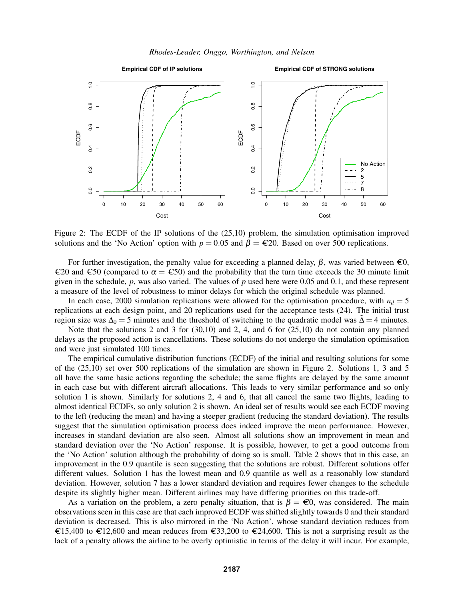*Rhodes-Leader, Onggo, Worthington, and Nelson*



Figure 2: The ECDF of the IP solutions of the (25,10) problem, the simulation optimisation improved solutions and the 'No Action' option with  $p = 0.05$  and  $\beta = \epsilon 20$ . Based on over 500 replications.

For further investigation, the penalty value for exceeding a planned delay,  $\beta$ , was varied between  $\epsilon$ 0,  $€20$  and  $€50$  (compared to  $\alpha = €50$ ) and the probability that the turn time exceeds the 30 minute limit given in the schedule,  $p$ , was also varied. The values of  $p$  used here were 0.05 and 0.1, and these represent a measure of the level of robustness to minor delays for which the original schedule was planned.

In each case, 2000 simulation replications were allowed for the optimisation procedure, with  $n_d = 5$ replications at each design point, and 20 replications used for the acceptance tests (24). The initial trust region size was  $\Delta_0 = 5$  minutes and the threshold of switching to the quadratic model was  $\tilde{\Delta} = 4$  minutes.

Note that the solutions 2 and 3 for (30,10) and 2, 4, and 6 for (25,10) do not contain any planned delays as the proposed action is cancellations. These solutions do not undergo the simulation optimisation and were just simulated 100 times.

The empirical cumulative distribution functions (ECDF) of the initial and resulting solutions for some of the (25,10) set over 500 replications of the simulation are shown in Figure 2. Solutions 1, 3 and 5 all have the same basic actions regarding the schedule; the same flights are delayed by the same amount in each case but with different aircraft allocations. This leads to very similar performance and so only solution 1 is shown. Similarly for solutions 2, 4 and 6, that all cancel the same two flights, leading to almost identical ECDFs, so only solution 2 is shown. An ideal set of results would see each ECDF moving to the left (reducing the mean) and having a steeper gradient (reducing the standard deviation). The results suggest that the simulation optimisation process does indeed improve the mean performance. However, increases in standard deviation are also seen. Almost all solutions show an improvement in mean and standard deviation over the 'No Action' response. It is possible, however, to get a good outcome from the 'No Action' solution although the probability of doing so is small. Table 2 shows that in this case, an improvement in the 0.9 quantile is seen suggesting that the solutions are robust. Different solutions offer different values. Solution 1 has the lowest mean and 0.9 quantile as well as a reasonably low standard deviation. However, solution 7 has a lower standard deviation and requires fewer changes to the schedule despite its slightly higher mean. Different airlines may have differing priorities on this trade-off.

As a variation on the problem, a zero penalty situation, that is  $\beta = \epsilon$ 0, was considered. The main observations seen in this case are that each improved ECDF was shifted slightly towards 0 and their standard deviation is decreased. This is also mirrored in the 'No Action', whose standard deviation reduces from €15,400 to €12,600 and mean reduces from €33,200 to €24,600. This is not a surprising result as the lack of a penalty allows the airline to be overly optimistic in terms of the delay it will incur. For example,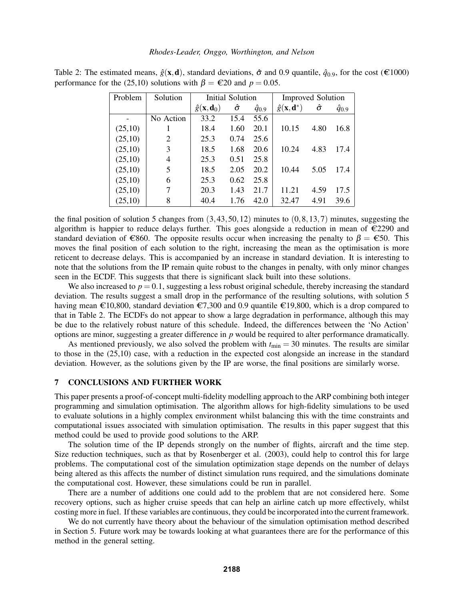| Problem | Solution  | Initial Solution                   |      |                 | <b>Improved Solution</b>            |      |                 |
|---------|-----------|------------------------------------|------|-----------------|-------------------------------------|------|-----------------|
|         |           | $\hat{g}(\mathbf{x},\mathbf{d}_0)$ | ô    | $\hat{q}_{0.9}$ | $\hat{g}(\mathbf{x}, \mathbf{d}^*)$ | ô    | $\hat{q}_{0.9}$ |
|         | No Action | 33.2                               | 15.4 | 55.6            |                                     |      |                 |
| (25,10) |           | 18.4                               | 1.60 | 20.1            | 10.15                               | 4.80 | 16.8            |
| (25,10) | 2         | 25.3                               | 0.74 | 25.6            |                                     |      |                 |
| (25,10) | 3         | 18.5                               | 1.68 | 20.6            | 10.24                               | 4.83 | 17.4            |
| (25,10) | 4         | 25.3                               | 0.51 | 25.8            |                                     |      |                 |
| (25,10) | 5         | 18.5                               | 2.05 | 20.2            | 10.44                               | 5.05 | 17.4            |
| (25,10) | 6         | 25.3                               | 0.62 | 25.8            |                                     |      |                 |
| (25,10) | 7         | 20.3                               | 1.43 | 21.7            | 11.21                               | 4.59 | 17.5            |
| (25,10) | 8         | 40.4                               | 1.76 | 42.0            | 32.47                               | 4.91 | 39.6            |

Table 2: The estimated means,  $\hat{g}(\mathbf{x}, \mathbf{d})$ , standard deviations,  $\hat{\sigma}$  and 0.9 quantile,  $\hat{q}_{0.9}$ , for the cost (€1000) performance for the (25,10) solutions with  $\beta = \epsilon 20$  and  $p = 0.05$ .

the final position of solution 5 changes from  $(3,43,50,12)$  minutes to  $(0,8,13,7)$  minutes, suggesting the algorithm is happier to reduce delays further. This goes alongside a reduction in mean of  $\epsilon$ 2290 and standard deviation of €860. The opposite results occur when increasing the penalty to  $\beta = \epsilon$ 50. This moves the final position of each solution to the right, increasing the mean as the optimisation is more reticent to decrease delays. This is accompanied by an increase in standard deviation. It is interesting to note that the solutions from the IP remain quite robust to the changes in penalty, with only minor changes seen in the ECDF. This suggests that there is significant slack built into these solutions.

We also increased to  $p = 0.1$ , suggesting a less robust original schedule, thereby increasing the standard deviation. The results suggest a small drop in the performance of the resulting solutions, with solution 5 having mean  $\epsilon$ 10,800, standard deviation  $\epsilon$ 7,300 and 0.9 quantile  $\epsilon$ 19,800, which is a drop compared to that in Table 2. The ECDFs do not appear to show a large degradation in performance, although this may be due to the relatively robust nature of this schedule. Indeed, the differences between the 'No Action' options are minor, suggesting a greater difference in *p* would be required to alter performance dramatically.

As mentioned previously, we also solved the problem with  $t_{\text{min}} = 30$  minutes. The results are similar to those in the (25,10) case, with a reduction in the expected cost alongside an increase in the standard deviation. However, as the solutions given by the IP are worse, the final positions are similarly worse.

### 7 CONCLUSIONS AND FURTHER WORK

This paper presents a proof-of-concept multi-fidelity modelling approach to the ARP combining both integer programming and simulation optimisation. The algorithm allows for high-fidelity simulations to be used to evaluate solutions in a highly complex environment whilst balancing this with the time constraints and computational issues associated with simulation optimisation. The results in this paper suggest that this method could be used to provide good solutions to the ARP.

The solution time of the IP depends strongly on the number of flights, aircraft and the time step. Size reduction techniques, such as that by Rosenberger et al. (2003), could help to control this for large problems. The computational cost of the simulation optimization stage depends on the number of delays being altered as this affects the number of distinct simulation runs required, and the simulations dominate the computational cost. However, these simulations could be run in parallel.

There are a number of additions one could add to the problem that are not considered here. Some recovery options, such as higher cruise speeds that can help an airline catch up more effectively, whilst costing more in fuel. If these variables are continuous, they could be incorporated into the current framework.

We do not currently have theory about the behaviour of the simulation optimisation method described in Section 5. Future work may be towards looking at what guarantees there are for the performance of this method in the general setting.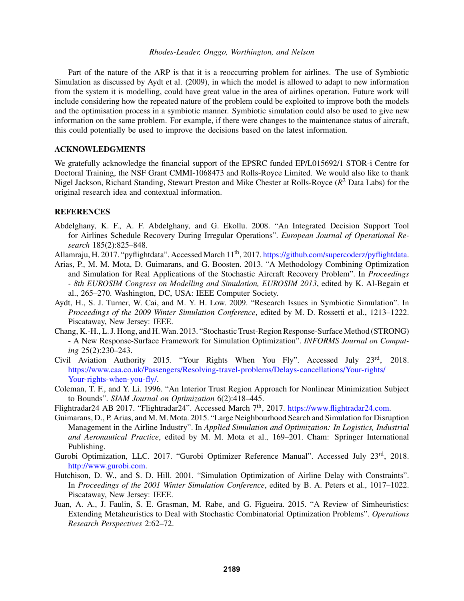Part of the nature of the ARP is that it is a reoccurring problem for airlines. The use of Symbiotic Simulation as discussed by Aydt et al. (2009), in which the model is allowed to adapt to new information from the system it is modelling, could have great value in the area of airlines operation. Future work will include considering how the repeated nature of the problem could be exploited to improve both the models and the optimisation process in a symbiotic manner. Symbiotic simulation could also be used to give new information on the same problem. For example, if there were changes to the maintenance status of aircraft, this could potentially be used to improve the decisions based on the latest information.

### ACKNOWLEDGMENTS

We gratefully acknowledge the financial support of the EPSRC funded EP/L015692/1 STOR-i Centre for Doctoral Training, the NSF Grant CMMI-1068473 and Rolls-Royce Limited. We would also like to thank Nigel Jackson, Richard Standing, Stewart Preston and Mike Chester at Rolls-Royce (*R* <sup>2</sup> Data Labs) for the original research idea and contextual information.

### REFERENCES

- Abdelghany, K. F., A. F. Abdelghany, and G. Ekollu. 2008. "An Integrated Decision Support Tool for Airlines Schedule Recovery During Irregular Operations". *European Journal of Operational Research* 185(2):825–848.
- Allamraju, H. 2017. "pyflightdata". Accessed March 11<sup>th</sup>, 2017. https://github.com/supercoderz/pyflightdata.
- Arias, P., M. M. Mota, D. Guimarans, and G. Boosten. 2013. "A Methodology Combining Optimization and Simulation for Real Applications of the Stochastic Aircraft Recovery Problem". In *Proceedings - 8th EUROSIM Congress on Modelling and Simulation, EUROSIM 2013*, edited by K. Al-Begain et al., 265–270. Washington, DC, USA: IEEE Computer Society.
- Aydt, H., S. J. Turner, W. Cai, and M. Y. H. Low. 2009. "Research Issues in Symbiotic Simulation". In *Proceedings of the 2009 Winter Simulation Conference*, edited by M. D. Rossetti et al., 1213–1222. Piscataway, New Jersey: IEEE.
- Chang, K.-H., L. J. Hong, and H.Wan. 2013. "Stochastic Trust-Region Response-Surface Method (STRONG) - A New Response-Surface Framework for Simulation Optimization". *INFORMS Journal on Computing* 25(2):230–243.
- Civil Aviation Authority 2015. "Your Rights When You Fly". Accessed July 23rd, 2018. https://www.caa.co.uk/Passengers/Resolving-travel-problems/Delays-cancellations/Your-rights/ Your-rights-when-you-fly/.
- Coleman, T. F., and Y. Li. 1996. "An Interior Trust Region Approach for Nonlinear Minimization Subject to Bounds". *SIAM Journal on Optimization* 6(2):418–445.
- Flightradar24 AB 2017. "Flightradar24". Accessed March 7<sup>th</sup>, 2017. https://www.flightradar24.com.
- Guimarans, D., P. Arias, and M. M. Mota. 2015. "Large Neighbourhood Search and Simulation for Disruption Management in the Airline Industry". In *Applied Simulation and Optimization: In Logistics, Industrial and Aeronautical Practice*, edited by M. M. Mota et al., 169–201. Cham: Springer International Publishing.
- Gurobi Optimization, LLC. 2017. "Gurobi Optimizer Reference Manual". Accessed July 23rd, 2018. http://www.gurobi.com.
- Hutchison, D. W., and S. D. Hill. 2001. "Simulation Optimization of Airline Delay with Constraints". In *Proceedings of the 2001 Winter Simulation Conference*, edited by B. A. Peters et al., 1017–1022. Piscataway, New Jersey: IEEE.
- Juan, A. A., J. Faulin, S. E. Grasman, M. Rabe, and G. Figueira. 2015. "A Review of Simheuristics: Extending Metaheuristics to Deal with Stochastic Combinatorial Optimization Problems". *Operations Research Perspectives* 2:62–72.